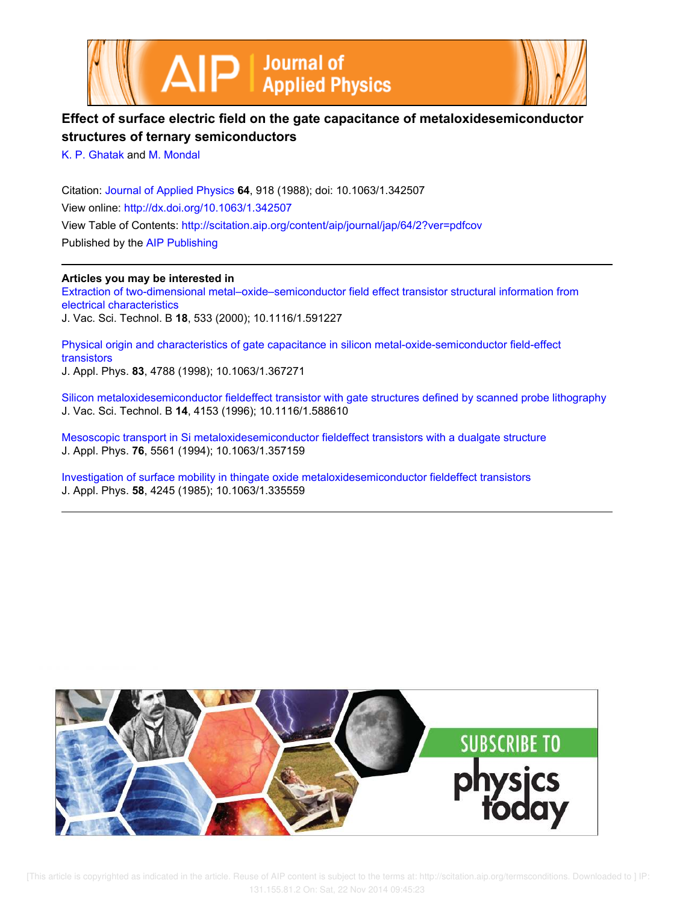



# **Effect of surface electric field on the gate capacitance of metaloxidesemiconductor structures of ternary semiconductors**

K. P. Ghatak and M. Mondal

Citation: Journal of Applied Physics **64**, 918 (1988); doi: 10.1063/1.342507 View online: http://dx.doi.org/10.1063/1.342507 View Table of Contents: http://scitation.aip.org/content/aip/journal/jap/64/2?ver=pdfcov Published by the AIP Publishing

**Articles you may be interested in**

Extraction of two-dimensional metal–oxide–semiconductor field effect transistor structural information from electrical characteristics J. Vac. Sci. Technol. B **18**, 533 (2000); 10.1116/1.591227

Physical origin and characteristics of gate capacitance in silicon metal-oxide-semiconductor field-effect transistors J. Appl. Phys. **83**, 4788 (1998); 10.1063/1.367271

Silicon metaloxidesemiconductor fieldeffect transistor with gate structures defined by scanned probe lithography J. Vac. Sci. Technol. B **14**, 4153 (1996); 10.1116/1.588610

Mesoscopic transport in Si metaloxidesemiconductor fieldeffect transistors with a dualgate structure J. Appl. Phys. **76**, 5561 (1994); 10.1063/1.357159

Investigation of surface mobility in thingate oxide metaloxidesemiconductor fieldeffect transistors J. Appl. Phys. **58**, 4245 (1985); 10.1063/1.335559



 [This article is copyrighted as indicated in the article. Reuse of AIP content is subject to the terms at: http://scitation.aip.org/termsconditions. Downloaded to ] IP: 131.155.81.2 On: Sat, 22 Nov 2014 09:45:23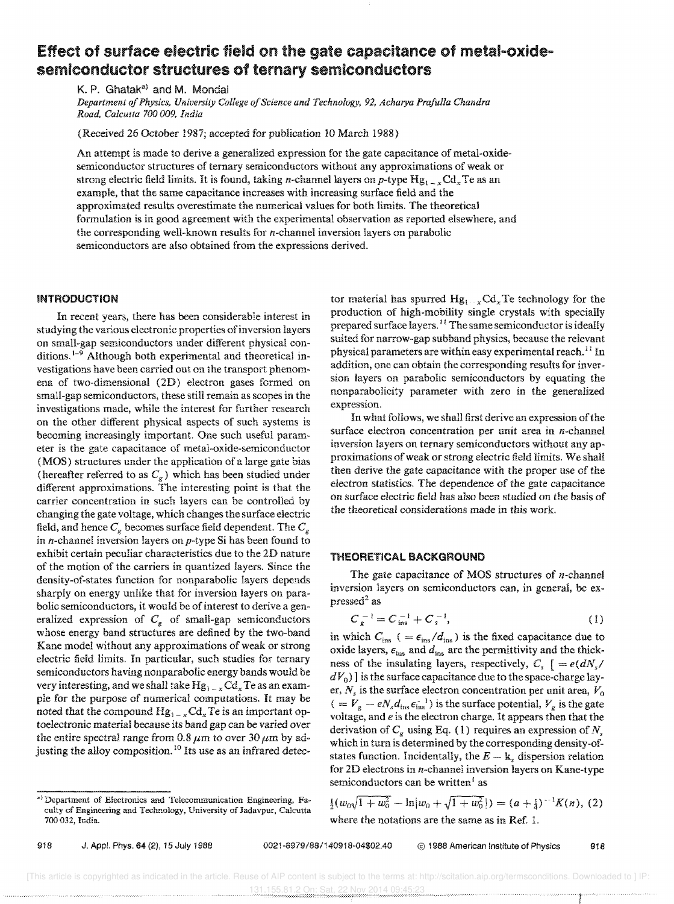# Effect of surface electric field on the gate capacitance of metal-oxidesemiconductor structures of ternary semiconductors

K. P. Ghatak<sup>a)</sup> and M. Mondal

*Department of Physics, University College of Science and Technology,* 92, *Acharya Prafulla Chandra Road, Calcutta 700009, India* 

(Received 26 October 1987; accepted for publication 10 March 1988)

An attempt is made to derive a generalized expression for the gate capacitance of metal-oxidesemiconductor structures of ternary semiconductors without any approximations of weak or strong electric field limits. It is found, taking *n*-channel layers on *p*-type  $Hg_{1-x}Cd_xTe$  as an example, that the same capacitance increases with increasing surface field and the approximated results overestimate the numerical values for both limits. The theoretical formulation is in good agreement with the experimental observation as reported elsewhere, and the corresponding well-known results for  $n$ -channel inversion layers on parabolic semiconductors are also obtained from the expressions derived.

### INTRODUCTION

In recent years, there has been considerable interest in studying the various electronic properties of inversion layers on small-gap semiconductors under different physical conditions.<sup>1-9</sup> Although both experimental and theoretical investigations have been carried out on the transport phenomena of two-dimensional (2D) electron gases formed on small-gap semiconductors, these still remain as scopes in the investigations made, while the interest for further research on the other different physical aspects of such systems is becoming increasingly important. One such useful parameter is the gate capacitance of metal-oxide-semiconductor (MOS) structures under the application of a large gate bias (hereafter referred to as C*<sup>g</sup> )* which has been studied under different approximations. The interesting point is that the carrier concentration in such layers can be controlled by changing the gate voltage, which changes the surface electric field, and hence  $C_{g}$  becomes surface field dependent. The  $C_{g}$ in  $n$ -channel inversion layers on  $p$ -type Si has been found to exhibit certain peculiar characteristics due to the 2D nature of the motion of the carriers in quantized layers. Since the density-of-states function for nonparabolic layers depends sharply on energy unlike that for inversion layers on parabolic semiconductors, it would be of interest to derive a generalized expression of  $C<sub>e</sub>$  of small-gap semiconductors whose energy band structures are defined by the two-band Kane model without any approximations of weak or strong electric field limits. In particular, such studies for ternary semiconductors having nonparabolic energy bands would be very interesting, and we shall take  $Hg_{1-x}Cd_xTe$  as an example for the purpose of numerical computations. It may be noted that the compound  $Hg_{1-x}Cd_xT$ e is an important optoelectronic material because its band gap can be varied over the entire spectral range from 0.8  $\mu$ m to over 30  $\mu$ m by adjusting the alloy composition.<sup>10</sup> Its use as an infrared detector material has spurred  $Hg_{1+x}Cd_xTe$  technology for the production of high-mobility single crystals with specially prepared surface layers.<sup>11</sup> The same semiconductor is ideally suited for narrow-gap subband physics, because the relevant physical parameters are within easy experimental reach.<sup>11</sup> In addition, one can obtain the corresponding results for inversion layers on parabolic semiconductors by equating the nonparabolicity parameter with zero in the generalized expression.

In what follows, we shall first derive an expression of the surface electron concentration per unit area in *n*-channel inversion layers on ternary semiconductors without any approximations of weak or strong electric field limits. We shall then derive the gate capacitance with the proper use of the electron statistics, The dependence of the gate capacitance on surface electric field has also been studied on the basis of the theoretical considerations made in this work.

## THEORETICAL BACKGROUND

The gate capacitance of MOS structures of  $n$ -channel inversion layers on semiconductors can, in general, be expressed $2$ as

$$
C_{g}^{-1} = C_{ins}^{-1} + C_{s}^{-1}, \qquad (1)
$$

in which  $C_{\text{ins}}$  ( =  $\epsilon_{\text{ins}}/d_{\text{ins}}$ ) is the fixed capacitance due to oxide layers,  $\epsilon_{ins}$  and  $d_{ins}$  are the permittivity and the thickness of the insulating layers, respectively,  $C_{\epsilon}$ ,  $= e(dN_{\epsilon}/n)$  $dV<sub>0</sub>$ )] is the surface capacitance due to the space-charge layer,  $N_s$  is the surface electron concentration per unit area,  $V_0$  $($  =  $V<sub>g</sub> - eN<sub>s</sub>d<sub>ins</sub> \epsilon<sub>ins</sub><sup>-1</sup>)$  is the surface potential,  $V<sub>g</sub>$  is the gate voltage, and *e* is the electron charge. It appears then that the derivation of  $C<sub>g</sub>$  using Eq. (1) requires an expression of N<sub>s</sub> which in turn is determined by the corresponding density-ofstates function. Incidentally, the  $E - k$ , dispersion relation for 2D electrons in n-channel inversion layers on Kane-type semiconductors can be written $<sup>i</sup>$  as</sup>

 $\frac{1}{2}(w_0\sqrt{1+w_0^2}-\ln|w_0+\sqrt{1+w_0^2}|)=(a+\frac{1}{4})^{-1}K(n)$ , (2) where the notations are the same as in Ref. 1.

<sup>.)</sup> Department of Electronics and Telecommunication Engineering, Faculty of Engineering and Technology, University of Jadavpur, Calcutta 700 032, India.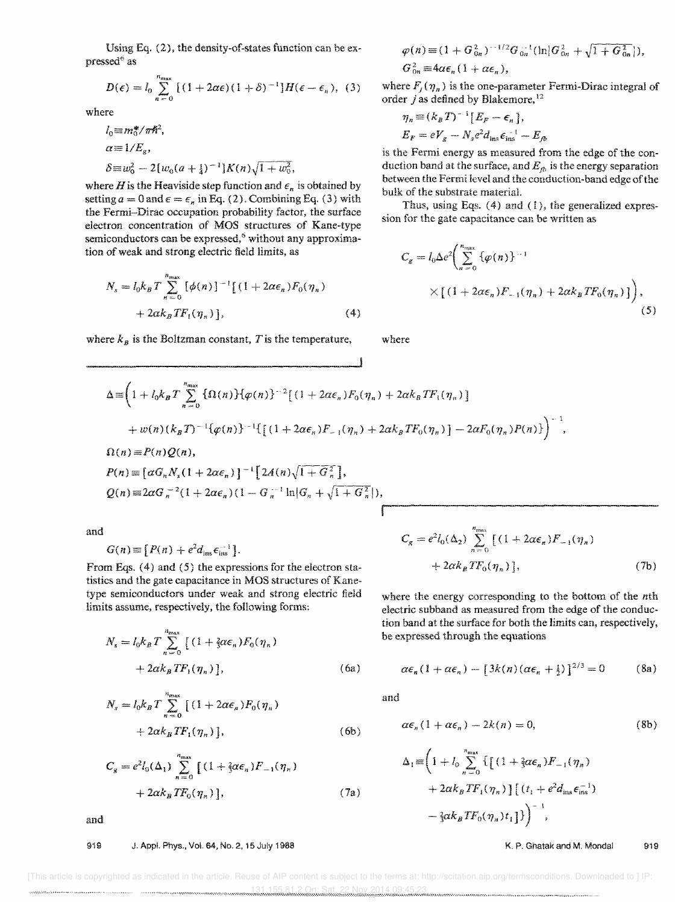Using Eq. (2), the density-of-states function can be expressed<sup>6</sup> as

$$
D(\epsilon) = l_0 \sum_{n=0}^{n_{\text{max}}} \left[ (1 + 2\alpha\epsilon)(1+\delta)^{-1} \right] H(\epsilon - \epsilon_n), \quad (3)
$$

where

$$
l_0 \equiv m_0^* / \pi h^2,
$$
  
\n
$$
\alpha \equiv 1 / E_g,
$$
  
\n
$$
\delta \equiv w_0^2 - 2[w_0(a + \frac{1}{4})^{-1}]K(n)\sqrt{1 + w_0^2},
$$

where *H* is the Heaviside step function and  $\epsilon_n$  is obtained by setting  $a = 0$  and  $\epsilon = \epsilon_n$  in Eq. (2). Combining Eq. (3) with the Fermi-Dirac occupation probability factor, the surface electron concentration of MOS structures of Kane-type semiconductors can be expressed,<sup>6</sup> without any approximation of weak and strong electric field limits, as

$$
N_s = I_0 k_B T \sum_{n=0}^{n_{\text{max}}} \left[ \phi(n) \right]^{-1} \left[ (1 + 2\alpha \epsilon_n) F_0(\eta_n) + 2\alpha k_B T F_1(\eta_n) \right],
$$
\n(4)

where  $k_B$  is the Boltzman constant, T is the temperature,

$$
\varphi(n) \equiv (1 + G_{0n}^2)^{-1/2} G_{0n}^{-1}(\ln |G_{0n}^2 + \sqrt{1 + G_{0n}^2}|),
$$
  
\n
$$
G_{0n}^2 \equiv 4\alpha \epsilon_n (1 + \alpha \epsilon_n),
$$

where  $F_i(\eta_n)$  is the one-parameter Fermi-Dirac integral of order j as defined by Blakemore,  $12$ 

$$
\eta_n \equiv (k_B T)^{-1} [E_F - \epsilon_n],
$$
  
\n
$$
E_F = eV_g - N_s e^2 d_{\text{ins}} \epsilon_{\text{ins}}^{-1} - E_{fb}
$$

is the Fermi energy as measured from the edge of the conduction band at the surface, and  $E_{\hat{p}}$  is the energy separation between the Fermi level and the conduction-band edge of the bulk of the substrate material.

Thus, using Eqs. (4) and (I), the generalized expression for the gate capacitance can be written as

$$
C_g = l_0 \Delta e^2 \bigg( \sum_{n=0}^{n_{\text{max}}} {\varphi(n)}^{-1}
$$
  
 
$$
\times \big[ (1 + 2\alpha \epsilon_n) F_{-1}(\eta_n) + 2\alpha k_B T F_0(\eta_n) \big] \bigg), \tag{5}
$$

where

$$
\Delta = \left(1 + l_0 k_B T \sum_{n=0}^{n_{\text{max}}} \left\{\Omega(n)\right\} \left\{\varphi(n)\right\}^{-2} \left[ (1 + 2\alpha \epsilon_n) F_0(\eta_n) + 2\alpha k_B T F_1(\eta_n) \right] \right.\n+ w(n) (k_B T)^{-1} \left\{\varphi(n)\right\}^{-1} \left\{\left[ (1 + 2\alpha \epsilon_n) F_{-1}(\eta_n) + 2\alpha k_B T F_0(\eta_n) \right] - 2\alpha F_0(\eta_n) P(n) \right\} \right\}^{-1},\n\Omega(n) = P(n) Q(n),\nP(n) = \left\{\alpha G_n N_s (1 + 2\alpha \epsilon_n) \right\}^{-1} \left[ 2A(n) \sqrt{1 + G_n^2} \right],\nQ(n) = 2\alpha G_n^{-2} (1 + 2\alpha \epsilon_n) (1 - G_n^{-1} \ln |G_n + \sqrt{1 + G_n^2}|),
$$

and

$$
G(n) \equiv [P(n) + e^2 d_{\text{ins}} \epsilon_{\text{ins}}^{-1}].
$$

From Eqs. (4) and (5) the expressions for the electron statistics and the gate capacitance in MOS structures of Kanetype semiconductors under weak and strong electric field limits assume, respectively, the following forms:

$$
N_s = l_0 k_B T \sum_{n=0}^{n_{\text{max}}} \left[ (1 + \frac{2}{3} \alpha \epsilon_n) F_0(\eta_n) + 2 \alpha k_B T F_1(\eta_n) \right],
$$
 (6a)

$$
N_s = l_0 k_B T \sum_{n=0}^{n_{\text{max}}} [(1 + 2\alpha \epsilon_n) F_0(\eta_n) + 2\alpha k_B T F_1(\eta_n)],
$$
\n(6b)

$$
C_g = e^2 l_0(\Delta_1) \sum_{n=0}^{n_{\text{max}}} [(1 + \frac{2}{3}\alpha \epsilon_n) F_{-1}(\eta_n) + 2\alpha k_B T F_0(\eta_n)],
$$

and

## 919 J. Appl. Phys,. Vol. 64. No, 2. 15 July 1988

$$
C_{g} = e^{2} l_{0}(\Delta_{2}) \sum_{n=0}^{n_{\text{max}}} \left[ (1 + 2\alpha \epsilon_{n}) F_{-1}(\eta_{n}) + 2\alpha k_{B} T F_{0}(\eta_{n}) \right],
$$
\n(7b)

where the energy corresponding to the bottom of the nth electric subband as measured from the edge of the conduction band at the surface for both the limits can, respectively, be expressed through the equations

$$
\alpha \epsilon_n (1 + \alpha \epsilon_n) - \left[ 3k(n) (\alpha \epsilon_n + \frac{1}{2}) \right]^{2/3} = 0 \quad (8a)
$$

and

I F

$$
\alpha \epsilon_n (1 + \alpha \epsilon_n) - 2k(n) = 0, \tag{8b}
$$

$$
\Delta_{1} = \left(1 + l_{0} \sum_{n=0}^{n_{\max}} \left\{ \left[ (1 + \frac{2}{3} \alpha \epsilon_{n}) F_{-1}(\eta_{n}) + 2 \alpha k_{B} T F_{1}(\eta_{n}) \right\} \left[ (t_{1} + e^{2} d_{\text{ins}} \epsilon_{\text{ins}}^{-1}) - \frac{2}{3} \alpha k_{B} T F_{0}(\eta_{n}) t_{1} \right] \right)^{-1},
$$

#### K. p, Ghatak and M, Mondal 919

 [This article is copyrighted as indicated in the article. Reuse of AIP content is subject to the terms at: http://scitation.aip.org/termsconditions. Downloaded to ] IP: 131.155.81.2 On: Sat, 22 Nov 2014 09:45:23

(7a)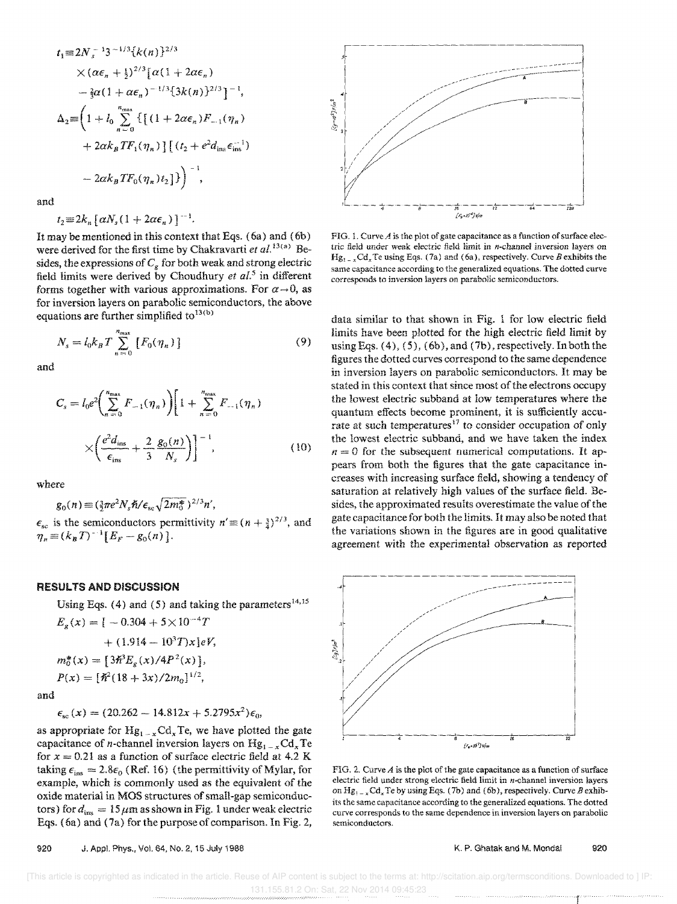$$
t_1 = 2N_s^{-1}3^{-1/3}\{k(n)\}^{2/3}
$$
  
\n
$$
\times (\alpha\epsilon_n + \frac{1}{2})^{2/3} [\alpha(1 + 2\alpha\epsilon_n)
$$
  
\n
$$
- \frac{2}{3}\alpha(1 + \alpha\epsilon_n)^{-1/3}\{3k(n)\}^{2/3}\}^{-1},
$$
  
\n
$$
\Delta_2 = \left(1 + l_0 \sum_{n=0}^{n_{\text{max}}} \{[(1 + 2\alpha\epsilon_n)F_{-1}(\eta_n) + 2\alpha k_B TF_1(\eta_n)][(t_2 + e^2d_{\text{ins}}\epsilon_{\text{ins}}^{-1}) - 2\alpha k_B TF_0(\eta_n)t_2]\}\right)^{-1},
$$

and

$$
t_2 \equiv 2k_n [\alpha N_s (1 + 2\alpha \epsilon_n)]^{-1}
$$

It may be mentioned in this context that Eqs. (6a) and (6b) were derived for the first time by Chakravarti et  $al^{13(a)}$  Besides, the expressions of  $C_g$  for both weak and strong electric field limits were derived by Choudhury et al.<sup>5</sup> in different forms together with various approximations. For  $\alpha \rightarrow 0$ , as for inversion layers on parabolic semiconductors, the above equations are further simplified to<sup>13(b)</sup>

$$
N_s = l_0 k_B T \sum_{n=0}^{n_{\text{max}}} [F_0(\eta_n)]
$$
 (9)

and

$$
C_{s} = l_{0}e^{2}\left(\sum_{n=0}^{n_{\text{max}}} F_{-1}(\eta_{n})\right)\left[1 + \sum_{n=0}^{n_{\text{max}}} F_{-1}(\eta_{n})\right] \times \left(\frac{e^{2}d_{\text{ins}}}{\epsilon_{\text{ins}}} + \frac{2}{3}\frac{g_{0}(n)}{N_{s}}\right)\right]^{-1}, \tag{10}
$$

where

$$
g_0(n) \equiv (\frac{3}{2}\pi e^2 N_s \hbar / \epsilon_{sc} \sqrt{2m_0^*})^{2/3} n',
$$

 $\epsilon_{\rm sc}$  is the semiconductors permittivity  $n' \equiv (n + \frac{3}{4})^{2/3}$ , and  $\eta_n \equiv (k_B T)^{-1} [E_F - g_0(n)].$ 

#### **RESULTS AND DISCUSSION**

Using Eqs. (4) and (5) and taking the parameters<sup>14,15</sup>

$$
E_g(x) = [-0.304 + 5 \times 10^{-4} T
$$
  
+ (1.914 - 10<sup>3</sup> T)x]eV,  

$$
m_0^*(x) = [3\hbar^3 E_g(x)/4P^2(x)],
$$
  

$$
P(x) = [\hbar^2(18 + 3x)/2m_0]^{1/2},
$$

and

$$
\epsilon_{\rm sc}(x) = (20.262 - 14.812x + 5.2795x^2)\epsilon_0,
$$

as appropriate for  $Hg_{1-x}Cd_xTe$ , we have plotted the gate capacitance of *n*-channel inversion layers on  $Hg_{1-x}Cd_xTe$ for  $x = 0.21$  as a function of surface electric field at 4.2 K taking  $\epsilon_{ins} = 2.8\epsilon_0$  (Ref. 16) (the permittivity of Mylar, for example, which is commonly used as the equivalent of the oxide material in MOS structures of small-gap semiconductors) for  $d_{ins} = 15 \mu m$  as shown in Fig. 1 under weak electric Eqs. (6a) and (7a) for the purpose of comparison. In Fig. 2,



FIG. 1. Curve  $A$  is the plot of gate capacitance as a function of surface electric field under weak electric field limit in n-channel inversion layers on  $Hg_{1-x}Cd_x$  Te using Eqs. (7a) and (6a), respectively. Curve B exhibits the same capacitance according to the generalized equations. The dotted curve corresponds to inversion layers on parabolic semiconductors.

data similar to that shown in Fig. 1 for low electric field limits have been plotted for the high electric field limit by using Eqs.  $(4)$ ,  $(5)$ ,  $(6b)$ , and  $(7b)$ , respectively. In both the figures the dotted curves correspond to the same dependence in inversion layers on parabolic semiconductors. It may be stated in this context that since most of the electrons occupy the lowest electric subband at low temperatures where the quantum effects become prominent, it is sufficiently accurate at such temperatures<sup>17</sup> to consider occupation of only the lowest electric subband, and we have taken the index  $n = 0$  for the subsequent numerical computations. It appears from both the figures that the gate capacitance increases with increasing surface field, showing a tendency of saturation at relatively high values of the surface field. Besides, the approximated results overestimate the value of the gate capacitance for both the limits. It may also be noted that the variations shown in the figures are in good qualitative agreement with the experimental observation as reported



FIG. 2. Curve  $A$  is the plot of the gate capacitance as a function of surface electric field under strong electric field limit in  $n$ -channel inversion layers on  $Hg_{1-x}Cd_xTe$  by using Eqs. (7b) and (6b), respectively. Curve B exhibits the same capacitance according to the generalized equations. The dotted curve corresponds to the same dependence in inversion layers on parabolic semiconductors.

K. P. Ghatak and M. Mondal 920